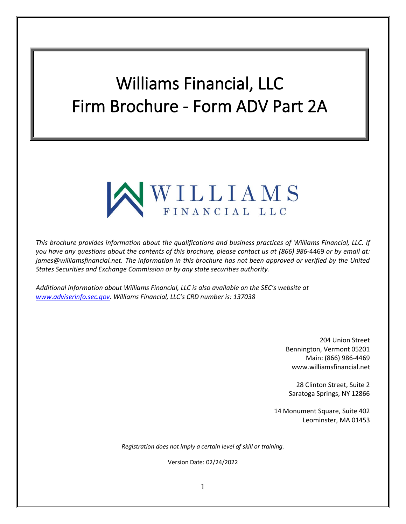# Williams Financial, LLC Firm Brochure - Form ADV Part 2A



*This brochure provides information about the qualifications and business practices of Williams Financial, LLC. If you have any questions about the contents of this brochure, please contact us at (866) 986-*4469 *or by email at: james@williamsfinancial.net. The information in this brochure has not been approved or verified by the United States Securities and Exchange Commission or by any state securities authority.*

*Additional information about Williams Financial, LLC is also available on the SEC's website at [www.adviserinfo.sec.gov.](http://www.adviserinfo.sec.gov/) Williams Financial, LLC's CRD number is: 137038*

> 204 Union Street Bennington, Vermont 05201 Main: (866) 986-4469 www.williamsfinancial.net

28 Clinton Street, Suite 2 Saratoga Springs, NY 12866

14 Monument Square, Suite 402 Leominster, MA 01453

*Registration does not imply a certain level of skill or training.*

Version Date: 02/24/2022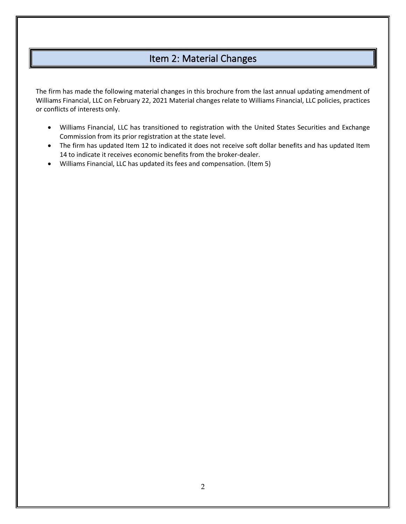# Item 2: Material Changes

<span id="page-1-0"></span>The firm has made the following material changes in this brochure from the last annual updating amendment of Williams Financial, LLC on February 22, 2021 Material changes relate to Williams Financial, LLC policies, practices or conflicts of interests only.

- Williams Financial, LLC has transitioned to registration with the United States Securities and Exchange Commission from its prior registration at the state level.
- The firm has updated Item 12 to indicated it does not receive soft dollar benefits and has updated Item 14 to indicate it receives economic benefits from the broker-dealer.
- Williams Financial, LLC has updated its fees and compensation. (Item 5)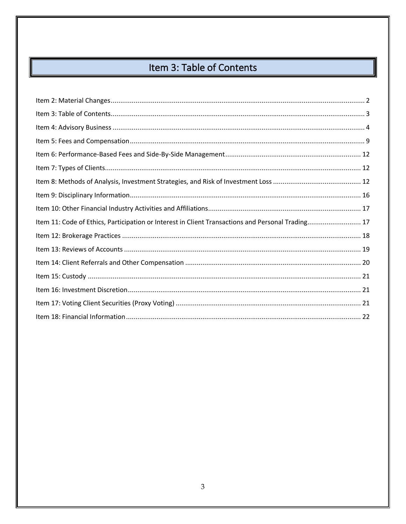# Item 3: Table of Contents

<span id="page-2-0"></span>

| Item 11: Code of Ethics, Participation or Interest in Client Transactions and Personal Trading 17 |  |
|---------------------------------------------------------------------------------------------------|--|
|                                                                                                   |  |
|                                                                                                   |  |
|                                                                                                   |  |
|                                                                                                   |  |
|                                                                                                   |  |
|                                                                                                   |  |
|                                                                                                   |  |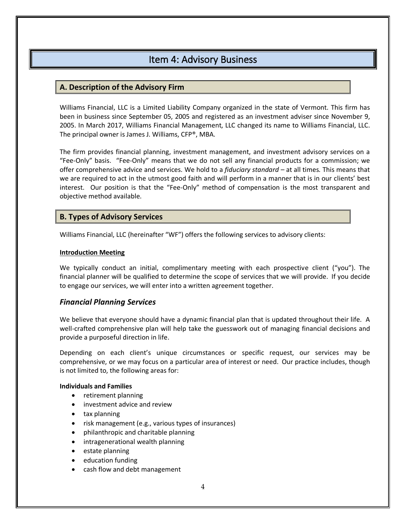# Item 4: Advisory Business

### <span id="page-3-0"></span>**A. Description of the Advisory Firm**

Williams Financial, LLC is a Limited Liability Company organized in the state of Vermont. This firm has been in business since September 05, 2005 and registered as an investment adviser since November 9, 2005. In March 2017, Williams Financial Management, LLC changed its name to Williams Financial, LLC. The principal owner is James J. Williams, CFP®, MBA.

The firm provides financial planning, investment management, and investment advisory services on a "Fee-Only" basis. "Fee-Only" means that we do not sell any financial products for a commission; we offer comprehensive advice and services. We hold to a *fiduciary standard –* at all times*.* This means that we are required to act in the utmost good faith and will perform in a manner that is in our clients' best interest. Our position is that the "Fee-Only" method of compensation is the most transparent and objective method available.

### **B. Types of Advisory Services**

Williams Financial, LLC (hereinafter "WF") offers the following services to advisory clients:

#### **Introduction Meeting**

We typically conduct an initial, complimentary meeting with each prospective client ("you"). The financial planner will be qualified to determine the scope of services that we will provide. If you decide to engage our services, we will enter into a written agreement together.

### *Financial Planning Services*

We believe that everyone should have a dynamic financial plan that is updated throughout their life. A well-crafted comprehensive plan will help take the guesswork out of managing financial decisions and provide a purposeful direction in life.

Depending on each client's unique circumstances or specific request, our services may be comprehensive, or we may focus on a particular area of interest or need. Our practice includes, though is not limited to, the following areas for:

#### **Individuals and Families**

- retirement planning
- investment advice and review
- tax planning
- risk management (e.g., various types of insurances)
- philanthropic and charitable planning
- intragenerational wealth planning
- estate planning
- education funding
- cash flow and debt management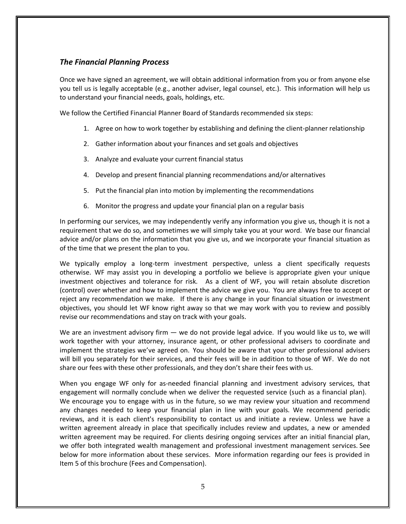# *The Financial Planning Process*

Once we have signed an agreement, we will obtain additional information from you or from anyone else you tell us is legally acceptable (e.g., another adviser, legal counsel, etc.). This information will help us to understand your financial needs, goals, holdings, etc.

We follow the Certified Financial Planner Board of Standards recommended six steps:

- 1. Agree on how to work together by establishing and defining the client-planner relationship
- 2. Gather information about your finances and set goals and objectives
- 3. Analyze and evaluate your current financial status
- 4. Develop and present financial planning recommendations and/or alternatives
- 5. Put the financial plan into motion by implementing the recommendations
- 6. Monitor the progress and update your financial plan on a regular basis

In performing our services, we may independently verify any information you give us, though it is not a requirement that we do so, and sometimes we will simply take you at your word. We base our financial advice and/or plans on the information that you give us, and we incorporate your financial situation as of the time that we present the plan to you.

We typically employ a long-term investment perspective, unless a client specifically requests otherwise. WF may assist you in developing a portfolio we believe is appropriate given your unique investment objectives and tolerance for risk. As a client of WF, you will retain absolute discretion (control) over whether and how to implement the advice we give you. You are always free to accept or reject any recommendation we make. If there is any change in your financial situation or investment objectives, you should let WF know right away so that we may work with you to review and possibly revise our recommendations and stay on track with your goals.

We are an investment advisory firm — we do not provide legal advice. If you would like us to, we will work together with your attorney, insurance agent, or other professional advisers to coordinate and implement the strategies we've agreed on. You should be aware that your other professional advisers will bill you separately for their services, and their fees will be in addition to those of WF. We do not share our fees with these other professionals, and they don't share their fees with us.

When you engage WF only for as-needed financial planning and investment advisory services, that engagement will normally conclude when we deliver the requested service (such as a financial plan). We encourage you to engage with us in the future, so we may review your situation and recommend any changes needed to keep your financial plan in line with your goals. We recommend periodic reviews, and it is each client's responsibility to contact us and initiate a review. Unless we have a written agreement already in place that specifically includes review and updates, a new or amended written agreement may be required. For clients desiring ongoing services after an initial financial plan, we offer both integrated wealth management and professional investment management services. See below for more information about these services. More information regarding our fees is provided in Item 5 of this brochure (Fees and Compensation).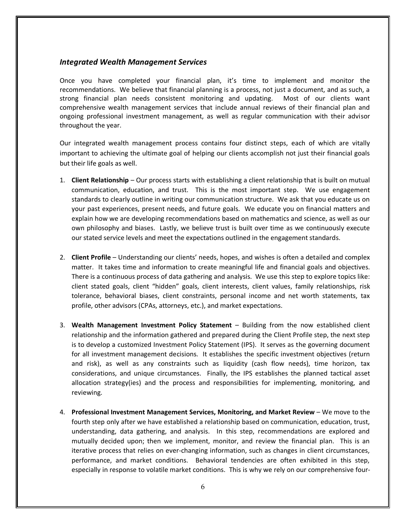#### *Integrated Wealth Management Services*

Once you have completed your financial plan, it's time to implement and monitor the recommendations. We believe that financial planning is a process, not just a document, and as such, a strong financial plan needs consistent monitoring and updating. Most of our clients want comprehensive wealth management services that include annual reviews of their financial plan and ongoing professional investment management, as well as regular communication with their advisor throughout the year.

Our integrated wealth management process contains four distinct steps, each of which are vitally important to achieving the ultimate goal of helping our clients accomplish not just their financial goals but their life goals as well.

- 1. **Client Relationship** Our process starts with establishing a client relationship that is built on mutual communication, education, and trust. This is the most important step. We use engagement standards to clearly outline in writing our communication structure. We ask that you educate us on your past experiences, present needs, and future goals. We educate you on financial matters and explain how we are developing recommendations based on mathematics and science, as well as our own philosophy and biases. Lastly, we believe trust is built over time as we continuously execute our stated service levels and meet the expectations outlined in the engagement standards.
- 2. **Client Profile** Understanding our clients' needs, hopes, and wishes is often a detailed and complex matter. It takes time and information to create meaningful life and financial goals and objectives. There is a continuous process of data gathering and analysis. We use this step to explore topics like: client stated goals, client "hidden" goals, client interests, client values, family relationships, risk tolerance, behavioral biases, client constraints, personal income and net worth statements, tax profile, other advisors (CPAs, attorneys, etc.), and market expectations.
- 3. **Wealth Management Investment Policy Statement** Building from the now established client relationship and the information gathered and prepared during the Client Profile step, the next step is to develop a customized Investment Policy Statement (IPS). It serves as the governing document for all investment management decisions. It establishes the specific investment objectives (return and risk), as well as any constraints such as liquidity (cash flow needs), time horizon, tax considerations, and unique circumstances. Finally, the IPS establishes the planned tactical asset allocation strategy(ies) and the process and responsibilities for implementing, monitoring, and reviewing.
- 4. **Professional Investment Management Services, Monitoring, and Market Review** We move to the fourth step only after we have established a relationship based on communication, education, trust, understanding, data gathering, and analysis. In this step, recommendations are explored and mutually decided upon; then we implement, monitor, and review the financial plan. This is an iterative process that relies on ever-changing information, such as changes in client circumstances, performance, and market conditions. Behavioral tendencies are often exhibited in this step, especially in response to volatile market conditions. This is why we rely on our comprehensive four-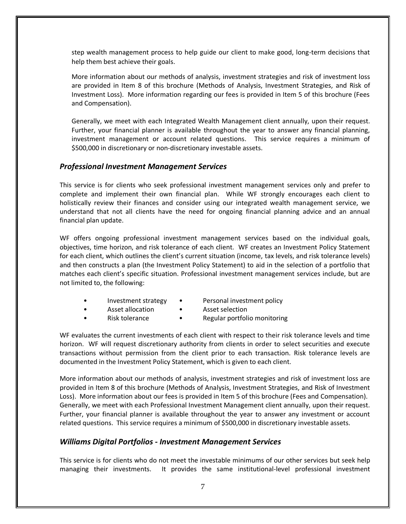step wealth management process to help guide our client to make good, long-term decisions that help them best achieve their goals.

More information about our methods of analysis, investment strategies and risk of investment loss are provided in Item 8 of this brochure (Methods of Analysis, Investment Strategies, and Risk of Investment Loss). More information regarding our fees is provided in Item 5 of this brochure (Fees and Compensation).

Generally, we meet with each Integrated Wealth Management client annually, upon their request. Further, your financial planner is available throughout the year to answer any financial planning, investment management or account related questions. This service requires a minimum of \$500,000 in discretionary or non-discretionary investable assets.

### *Professional Investment Management Services*

This service is for clients who seek professional investment management services only and prefer to complete and implement their own financial plan. While WF strongly encourages each client to holistically review their finances and consider using our integrated wealth management service, we understand that not all clients have the need for ongoing financial planning advice and an annual financial plan update.

WF offers ongoing professional investment management services based on the individual goals, objectives, time horizon, and risk tolerance of each client. WF creates an Investment Policy Statement for each client, which outlines the client's current situation (income, tax levels, and risk tolerance levels) and then constructs a plan (the Investment Policy Statement) to aid in the selection of a portfolio that matches each client's specific situation. Professional investment management services include, but are not limited to, the following:

- 
- Investment strategy Personal investment policy
- - Asset allocation Asset selection
- 
- Risk tolerance Regular portfolio monitoring

WF evaluates the current investments of each client with respect to their risk tolerance levels and time horizon. WF will request discretionary authority from clients in order to select securities and execute transactions without permission from the client prior to each transaction. Risk tolerance levels are documented in the Investment Policy Statement, which is given to each client.

More information about our methods of analysis, investment strategies and risk of investment loss are provided in Item 8 of this brochure (Methods of Analysis, Investment Strategies, and Risk of Investment Loss). More information about our fees is provided in Item 5 of this brochure (Fees and Compensation). Generally, we meet with each Professional Investment Management client annually, upon their request. Further, your financial planner is available throughout the year to answer any investment or account related questions. This service requires a minimum of \$500,000 in discretionary investable assets.

### *Williams Digital Portfolios - Investment Management Services*

This service is for clients who do not meet the investable minimums of our other services but seek help managing their investments. It provides the same institutional-level professional investment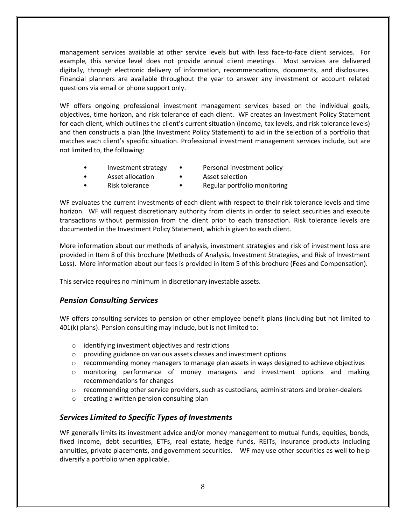management services available at other service levels but with less face-to-face client services. For example, this service level does not provide annual client meetings. Most services are delivered digitally, through electronic delivery of information, recommendations, documents, and disclosures. Financial planners are available throughout the year to answer any investment or account related questions via email or phone support only.

WF offers ongoing professional investment management services based on the individual goals, objectives, time horizon, and risk tolerance of each client. WF creates an Investment Policy Statement for each client, which outlines the client's current situation (income, tax levels, and risk tolerance levels) and then constructs a plan (the Investment Policy Statement) to aid in the selection of a portfolio that matches each client's specific situation. Professional investment management services include, but are not limited to, the following:

- - Investment strategy Personal investment policy
- - Asset allocation Asset selection
- 
- Risk tolerance Regular portfolio monitoring

WF evaluates the current investments of each client with respect to their risk tolerance levels and time horizon. WF will request discretionary authority from clients in order to select securities and execute transactions without permission from the client prior to each transaction. Risk tolerance levels are documented in the Investment Policy Statement, which is given to each client.

More information about our methods of analysis, investment strategies and risk of investment loss are provided in Item 8 of this brochure (Methods of Analysis, Investment Strategies, and Risk of Investment Loss). More information about our fees is provided in Item 5 of this brochure (Fees and Compensation).

This service requires no minimum in discretionary investable assets.

# *Pension Consulting Services*

WF offers consulting services to pension or other employee benefit plans (including but not limited to 401(k) plans). Pension consulting may include, but is not limited to:

- o identifying investment objectives and restrictions
- $\circ$  providing guidance on various assets classes and investment options
- $\circ$  recommending money managers to manage plan assets in ways designed to achieve objectives
- $\circ$  monitoring performance of money managers and investment options and making recommendations for changes
- $\circ$  recommending other service providers, such as custodians, administrators and broker-dealers
- o creating a written pension consulting plan

# *Services Limited to Specific Types of Investments*

WF generally limits its investment advice and/or money management to mutual funds, equities, bonds, fixed income, debt securities, ETFs, real estate, hedge funds, REITs, insurance products including annuities, private placements, and government securities. WF may use other securities as well to help diversify a portfolio when applicable.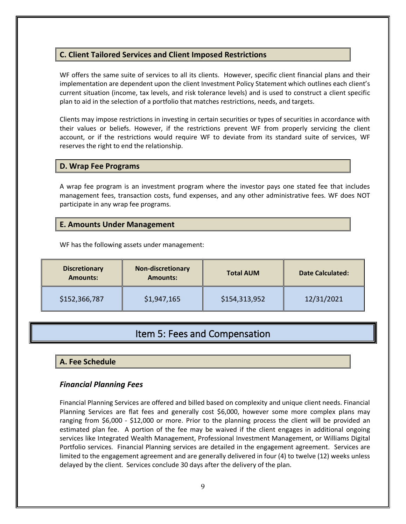# **C. Client Tailored Services and Client Imposed Restrictions**

WF offers the same suite of services to all its clients. However, specific client financial plans and their implementation are dependent upon the client Investment Policy Statement which outlines each client's current situation (income, tax levels, and risk tolerance levels) and is used to construct a client specific plan to aid in the selection of a portfolio that matches restrictions, needs, and targets.

Clients may impose restrictions in investing in certain securities or types of securities in accordance with their values or beliefs. However, if the restrictions prevent WF from properly servicing the client account, or if the restrictions would require WF to deviate from its standard suite of services, WF reserves the right to end the relationship.

### **D. Wrap Fee Programs**

A wrap fee program is an investment program where the investor pays one stated fee that includes management fees, transaction costs, fund expenses, and any other administrative fees. WF does NOT participate in any wrap fee programs.

### **E. Amounts Under Management**

WF has the following assets under management:

| <b>Discretionary</b><br><b>Amounts:</b> | <b>Non-discretionary</b><br><b>Amounts:</b> | <b>Total AUM</b> | <b>Date Calculated:</b> |
|-----------------------------------------|---------------------------------------------|------------------|-------------------------|
| \$152,366,787                           | \$1,947,165                                 | \$154,313,952    | 12/31/2021              |

# Item 5: Fees and Compensation

### <span id="page-8-0"></span>**A. Fee Schedule**

### *Financial Planning Fees*

Financial Planning Services are offered and billed based on complexity and unique client needs. Financial Planning Services are flat fees and generally cost \$6,000, however some more complex plans may ranging from \$6,000 - \$12,000 or more. Prior to the planning process the client will be provided an estimated plan fee. A portion of the fee may be waived if the client engages in additional ongoing services like Integrated Wealth Management, Professional Investment Management, or Williams Digital Portfolio services. Financial Planning services are detailed in the engagement agreement. Services are limited to the engagement agreement and are generally delivered in four (4) to twelve (12) weeks unless delayed by the client. Services conclude 30 days after the delivery of the plan.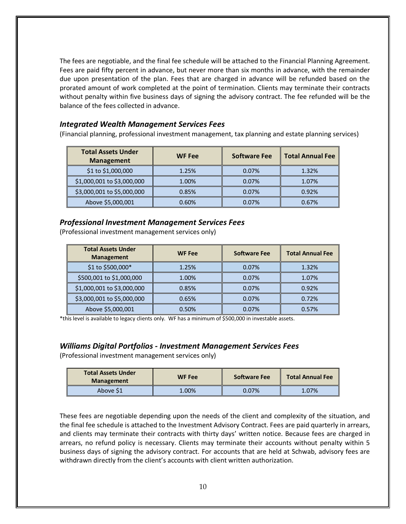The fees are negotiable, and the final fee schedule will be attached to the Financial Planning Agreement. Fees are paid fifty percent in advance, but never more than six months in advance, with the remainder due upon presentation of the plan. Fees that are charged in advance will be refunded based on the prorated amount of work completed at the point of termination. Clients may terminate their contracts without penalty within five business days of signing the advisory contract. The fee refunded will be the balance of the fees collected in advance.

### *Integrated Wealth Management Services Fees*

(Financial planning, professional investment management, tax planning and estate planning services)

| <b>Total Assets Under</b><br><b>Management</b> | <b>WF Fee</b> | <b>Software Fee</b> | <b>Total Annual Fee</b> |
|------------------------------------------------|---------------|---------------------|-------------------------|
| \$1 to \$1,000,000                             | 1.25%         | 0.07%               | 1.32%                   |
| \$1,000,001 to \$3,000,000                     | 1.00%         | 0.07%               | 1.07%                   |
| \$3,000,001 to \$5,000,000                     | 0.85%         | 0.07%               | 0.92%                   |
| Above \$5,000,001                              | 0.60%         | 0.07%               | 0.67%                   |

# *Professional Investment Management Services Fees*

(Professional investment management services only)

| <b>Total Assets Under</b><br><b>Management</b> | <b>WF Fee</b> | <b>Software Fee</b> | <b>Total Annual Fee</b> |
|------------------------------------------------|---------------|---------------------|-------------------------|
| \$1 to \$500,000*                              | 1.25%         | 0.07%               | 1.32%                   |
| \$500,001 to \$1,000,000                       | 1.00%         | 0.07%               | 1.07%                   |
| \$1,000,001 to \$3,000,000                     | 0.85%         | 0.07%               | 0.92%                   |
| \$3,000,001 to \$5,000,000                     | 0.65%         | 0.07%               | 0.72%                   |
| Above \$5,000,001                              | 0.50%         | 0.07%               | 0.57%                   |

\*this level is available to legacy clients only. WF has a minimum of \$500,000 in investable assets.

### *Williams Digital Portfolios - Investment Management Services Fees*

(Professional investment management services only)

| <b>Total Assets Under</b><br><b>Management</b> | <b>WF Fee</b> | <b>Software Fee</b> | <b>Total Annual Fee</b> |
|------------------------------------------------|---------------|---------------------|-------------------------|
| Above S1                                       | 1.00%         | 0.07%               | 1.07%                   |

These fees are negotiable depending upon the needs of the client and complexity of the situation, and the final fee schedule is attached to the Investment Advisory Contract. Fees are paid quarterly in arrears, and clients may terminate their contracts with thirty days' written notice. Because fees are charged in arrears, no refund policy is necessary. Clients may terminate their accounts without penalty within 5 business days of signing the advisory contract. For accounts that are held at Schwab, advisory fees are withdrawn directly from the client's accounts with client written authorization.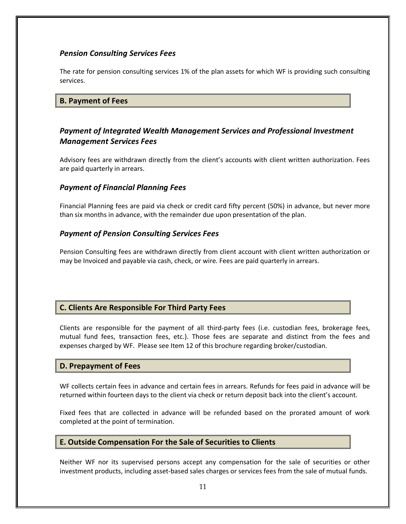# *Pension Consulting Services Fees*

The rate for pension consulting services 1% of the plan assets for which WF is providing such consulting services.

### **B. Payment of Fees**

# *Payment of Integrated Wealth Management Services and Professional Investment Management Services Fees*

Advisory fees are withdrawn directly from the client's accounts with client written authorization. Fees are paid quarterly in arrears.

### *Payment of Financial Planning Fees*

Financial Planning fees are paid via check or credit card fifty percent (50%) in advance, but never more than six months in advance, with the remainder due upon presentation of the plan.

### *Payment of Pension Consulting Services Fees*

Pension Consulting fees are withdrawn directly from client account with client written authorization or may be Invoiced and payable via cash, check, or wire. Fees are paid quarterly in arrears.

# **C. Clients Are Responsible For Third Party Fees**

Clients are responsible for the payment of all third-party fees (i.e. custodian fees, brokerage fees, mutual fund fees, transaction fees, etc.). Those fees are separate and distinct from the fees and expenses charged by WF. Please see Item 12 of this brochure regarding broker/custodian.

### **D. Prepayment of Fees**

WF collects certain fees in advance and certain fees in arrears. Refunds for fees paid in advance will be returned within fourteen days to the client via check or return deposit back into the client's account.

Fixed fees that are collected in advance will be refunded based on the prorated amount of work completed at the point of termination.

### **E. Outside Compensation For the Sale of Securities to Clients**

Neither WF nor its supervised persons accept any compensation for the sale of securities or other investment products, including asset-based sales charges or services fees from the sale of mutual funds.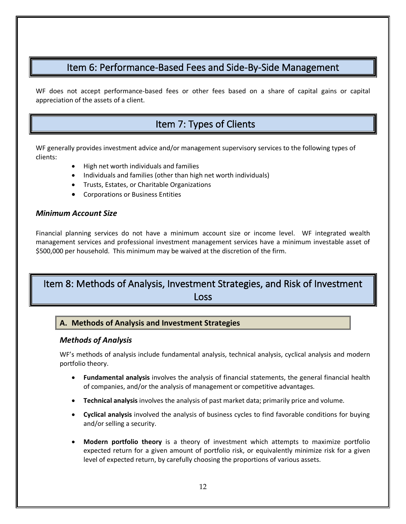# Item 6: Performance-Based Fees and Side-By-Side Management

<span id="page-11-0"></span>WF does not accept performance-based fees or other fees based on a share of capital gains or capital appreciation of the assets of a client.

# <span id="page-11-1"></span>Item 7: Types of Clients

WF generally provides investment advice and/or management supervisory services to the following types of clients:

- High net worth individuals and families
- Individuals and families (other than high net worth individuals)
- Trusts, Estates, or Charitable Organizations
- Corporations or Business Entities

### *Minimum Account Size*

Financial planning services do not have a minimum account size or income level. WF integrated wealth management services and professional investment management services have a minimum investable asset of \$500,000 per household. This minimum may be waived at the discretion of the firm.

# <span id="page-11-2"></span>Item 8: Methods of Analysis, Investment Strategies, and Risk of Investment Loss

# **A. Methods of Analysis and Investment Strategies**

### *Methods of Analysis*

WF's methods of analysis include fundamental analysis, technical analysis, cyclical analysis and modern portfolio theory.

- **Fundamental analysis** involves the analysis of financial statements, the general financial health of companies, and/or the analysis of management or competitive advantages.
- **Technical analysis** involves the analysis of past market data; primarily price and volume.
- **Cyclical analysis** involved the analysis of business cycles to find favorable conditions for buying and/or selling a security.
- **Modern portfolio theory** is a theory of investment which attempts to maximize portfolio expected return for a given amount of portfolio risk, or equivalently minimize risk for a given level of expected return, by carefully choosing the proportions of various assets.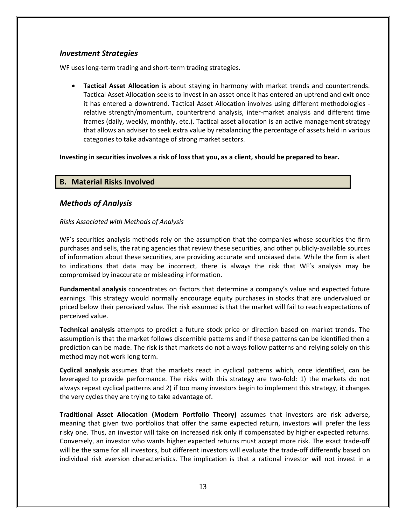### *Investment Strategies*

WF uses long-term trading and short-term trading strategies.

• **Tactical Asset Allocation** is about staying in harmony with market trends and countertrends. Tactical Asset Allocation seeks to invest in an asset once it has entered an uptrend and exit once it has entered a downtrend. Tactical Asset Allocation involves using different methodologies relative strength/momentum, countertrend analysis, inter-market analysis and different time frames (daily, weekly, monthly, etc.). Tactical asset allocation is an active management strategy that allows an adviser to seek extra value by rebalancing the percentage of assets held in various categories to take advantage of strong market sectors.

### **Investing in securities involves a risk of loss that you, as a client, should be prepared to bear.**

# **B. Material Risks Involved**

# *Methods of Analysis*

#### *Risks Associated with Methods of Analysis*

WF's securities analysis methods rely on the assumption that the companies whose securities the firm purchases and sells, the rating agencies that review these securities, and other publicly-available sources of information about these securities, are providing accurate and unbiased data. While the firm is alert to indications that data may be incorrect, there is always the risk that WF's analysis may be compromised by inaccurate or misleading information.

**Fundamental analysis** concentrates on factors that determine a company's value and expected future earnings. This strategy would normally encourage equity purchases in stocks that are undervalued or priced below their perceived value. The risk assumed is that the market will fail to reach expectations of perceived value.

**Technical analysis** attempts to predict a future stock price or direction based on market trends. The assumption is that the market follows discernible patterns and if these patterns can be identified then a prediction can be made. The risk is that markets do not always follow patterns and relying solely on this method may not work long term.

**Cyclical analysis** assumes that the markets react in cyclical patterns which, once identified, can be leveraged to provide performance. The risks with this strategy are two-fold: 1) the markets do not always repeat cyclical patterns and 2) if too many investors begin to implement this strategy, it changes the very cycles they are trying to take advantage of.

**Traditional Asset Allocation (Modern Portfolio Theory)** assumes that investors are risk adverse, meaning that given two portfolios that offer the same expected return, investors will prefer the less risky one. Thus, an investor will take on increased risk only if compensated by higher expected returns. Conversely, an investor who wants higher expected returns must accept more risk. The exact trade-off will be the same for all investors, but different investors will evaluate the trade-off differently based on individual risk aversion characteristics. The implication is that a rational investor will not invest in a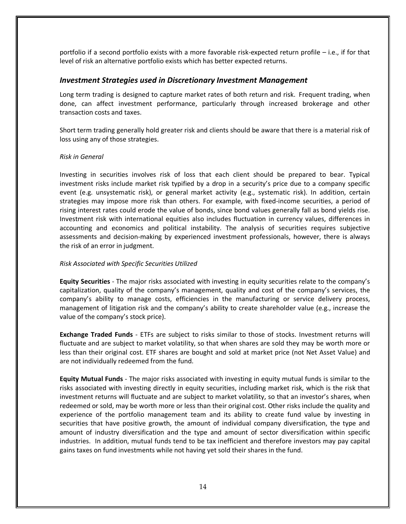portfolio if a second portfolio exists with a more favorable risk-expected return profile – i.e., if for that level of risk an alternative portfolio exists which has better expected returns.

### *Investment Strategies used in Discretionary Investment Management*

Long term trading is designed to capture market rates of both return and risk. Frequent trading, when done, can affect investment performance, particularly through increased brokerage and other transaction costs and taxes.

Short term trading generally hold greater risk and clients should be aware that there is a material risk of loss using any of those strategies.

#### *Risk in General*

Investing in securities involves risk of loss that each client should be prepared to bear. Typical investment risks include market risk typified by a drop in a security's price due to a company specific event (e.g. unsystematic risk), or general market activity (e.g., systematic risk). In addition, certain strategies may impose more risk than others. For example, with fixed-income securities, a period of rising interest rates could erode the value of bonds, since bond values generally fall as bond yields rise. Investment risk with international equities also includes fluctuation in currency values, differences in accounting and economics and political instability. The analysis of securities requires subjective assessments and decision-making by experienced investment professionals, however, there is always the risk of an error in judgment.

#### *Risk Associated with Specific Securities Utilized*

**Equity Securities** - The major risks associated with investing in equity securities relate to the company's capitalization, quality of the company's management, quality and cost of the company's services, the company's ability to manage costs, efficiencies in the manufacturing or service delivery process, management of litigation risk and the company's ability to create shareholder value (e.g., increase the value of the company's stock price).

**Exchange Traded Funds** - ETFs are subject to risks similar to those of stocks. Investment returns will fluctuate and are subject to market volatility, so that when shares are sold they may be worth more or less than their original cost. ETF shares are bought and sold at market price (not Net Asset Value) and are not individually redeemed from the fund.

**Equity Mutual Funds** - The major risks associated with investing in equity mutual funds is similar to the risks associated with investing directly in equity securities, including market risk, which is the risk that investment returns will fluctuate and are subject to market volatility, so that an investor's shares, when redeemed or sold, may be worth more or less than their original cost. Other risks include the quality and experience of the portfolio management team and its ability to create fund value by investing in securities that have positive growth, the amount of individual company diversification, the type and amount of industry diversification and the type and amount of sector diversification within specific industries. In addition, mutual funds tend to be tax inefficient and therefore investors may pay capital gains taxes on fund investments while not having yet sold their shares in the fund.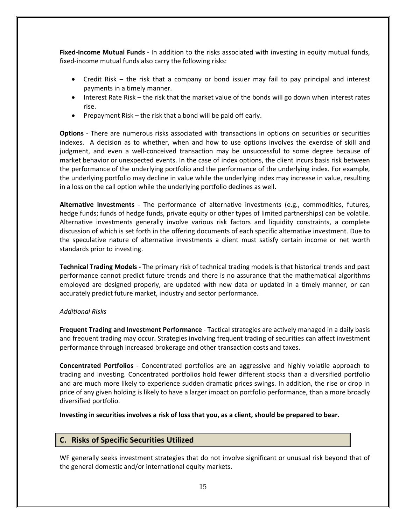**Fixed-Income Mutual Funds** - In addition to the risks associated with investing in equity mutual funds, fixed-income mutual funds also carry the following risks:

- Credit Risk the risk that a company or bond issuer may fail to pay principal and interest payments in a timely manner.
- Interest Rate Risk the risk that the market value of the bonds will go down when interest rates rise.
- Prepayment Risk the risk that a bond will be paid off early.

**Options** - There are numerous risks associated with transactions in options on securities or securities indexes. A decision as to whether, when and how to use options involves the exercise of skill and judgment, and even a well-conceived transaction may be unsuccessful to some degree because of market behavior or unexpected events. In the case of index options, the client incurs basis risk between the performance of the underlying portfolio and the performance of the underlying index. For example, the underlying portfolio may decline in value while the underlying index may increase in value, resulting in a loss on the call option while the underlying portfolio declines as well.

**Alternative Investments** - The performance of alternative investments (e.g., commodities, futures, hedge funds; funds of hedge funds, private equity or other types of limited partnerships) can be volatile. Alternative investments generally involve various risk factors and liquidity constraints, a complete discussion of which is set forth in the offering documents of each specific alternative investment. Due to the speculative nature of alternative investments a client must satisfy certain income or net worth standards prior to investing.

**Technical Trading Models -** The primary risk of technical trading models is that historical trends and past performance cannot predict future trends and there is no assurance that the mathematical algorithms employed are designed properly, are updated with new data or updated in a timely manner, or can accurately predict future market, industry and sector performance.

#### *Additional Risks*

**Frequent Trading and Investment Performance** - Tactical strategies are actively managed in a daily basis and frequent trading may occur. Strategies involving frequent trading of securities can affect investment performance through increased brokerage and other transaction costs and taxes.

**Concentrated Portfolios** - Concentrated portfolios are an aggressive and highly volatile approach to trading and investing. Concentrated portfolios hold fewer different stocks than a diversified portfolio and are much more likely to experience sudden dramatic prices swings. In addition, the rise or drop in price of any given holding is likely to have a larger impact on portfolio performance, than a more broadly diversified portfolio.

**Investing in securities involves a risk of loss that you, as a client, should be prepared to bear.**

# **C. Risks of Specific Securities Utilized**

WF generally seeks investment strategies that do not involve significant or unusual risk beyond that of the general domestic and/or international equity markets.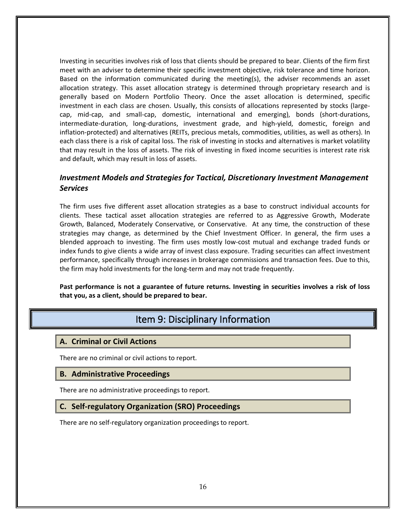Investing in securities involves risk of loss that clients should be prepared to bear. Clients of the firm first meet with an adviser to determine their specific investment objective, risk tolerance and time horizon. Based on the information communicated during the meeting(s), the adviser recommends an asset allocation strategy. This asset allocation strategy is determined through proprietary research and is generally based on Modern Portfolio Theory. Once the asset allocation is determined, specific investment in each class are chosen. Usually, this consists of allocations represented by stocks (largecap, mid-cap, and small-cap, domestic, international and emerging), bonds (short-durations, intermediate-duration, long-durations, investment grade, and high-yield, domestic, foreign and inflation-protected) and alternatives (REITs, precious metals, commodities, utilities, as well as others). In each class there is a risk of capital loss. The risk of investing in stocks and alternatives is market volatility that may result in the loss of assets. The risk of investing in fixed income securities is interest rate risk and default, which may result in loss of assets.

# *Investment Models and Strategies for Tactical, Discretionary Investment Management Services*

The firm uses five different asset allocation strategies as a base to construct individual accounts for clients. These tactical asset allocation strategies are referred to as Aggressive Growth, Moderate Growth, Balanced, Moderately Conservative, or Conservative. At any time, the construction of these strategies may change, as determined by the Chief Investment Officer. In general, the firm uses a blended approach to investing. The firm uses mostly low-cost mutual and exchange traded funds or index funds to give clients a wide array of invest class exposure. Trading securities can affect investment performance, specifically through increases in brokerage commissions and transaction fees. Due to this, the firm may hold investments for the long-term and may not trade frequently.

<span id="page-15-0"></span>**Past performance is not a guarantee of future returns. Investing in securities involves a risk of loss that you, as a client, should be prepared to bear.**

# Item 9: Disciplinary Information

### **A. Criminal or Civil Actions**

There are no criminal or civil actions to report.

### **B. Administrative Proceedings**

There are no administrative proceedings to report.

### **C. Self-regulatory Organization (SRO) Proceedings**

There are no self-regulatory organization proceedings to report.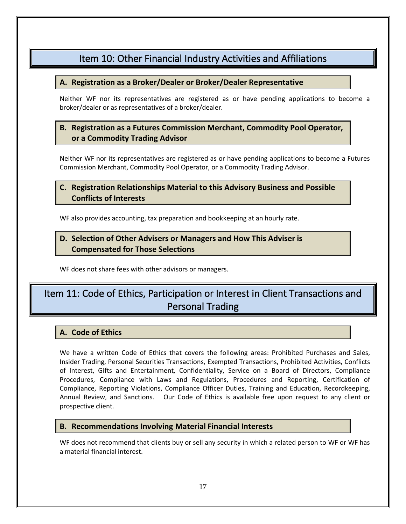# Item 10: Other Financial Industry Activities and Affiliations

# <span id="page-16-0"></span>**A. Registration as a Broker/Dealer or Broker/Dealer Representative**

Neither WF nor its representatives are registered as or have pending applications to become a broker/dealer or as representatives of a broker/dealer.

# **B. Registration as a Futures Commission Merchant, Commodity Pool Operator, or a Commodity Trading Advisor**

Neither WF nor its representatives are registered as or have pending applications to become a Futures Commission Merchant, Commodity Pool Operator, or a Commodity Trading Advisor.

# **C. Registration Relationships Material to this Advisory Business and Possible Conflicts of Interests**

WF also provides accounting, tax preparation and bookkeeping at an hourly rate.

# **D. Selection of Other Advisers or Managers and How This Adviser is Compensated for Those Selections**

WF does not share fees with other advisors or managers.

# <span id="page-16-1"></span>Item 11: Code of Ethics, Participation or Interest in Client Transactions and Personal Trading

# **A. Code of Ethics**

We have a written Code of Ethics that covers the following areas: Prohibited Purchases and Sales, Insider Trading, Personal Securities Transactions, Exempted Transactions, Prohibited Activities, Conflicts of Interest, Gifts and Entertainment, Confidentiality, Service on a Board of Directors, Compliance Procedures, Compliance with Laws and Regulations, Procedures and Reporting, Certification of Compliance, Reporting Violations, Compliance Officer Duties, Training and Education, Recordkeeping, Annual Review, and Sanctions. Our Code of Ethics is available free upon request to any client or prospective client.

### **B. Recommendations Involving Material Financial Interests**

WF does not recommend that clients buy or sell any security in which a related person to WF or WF has a material financial interest.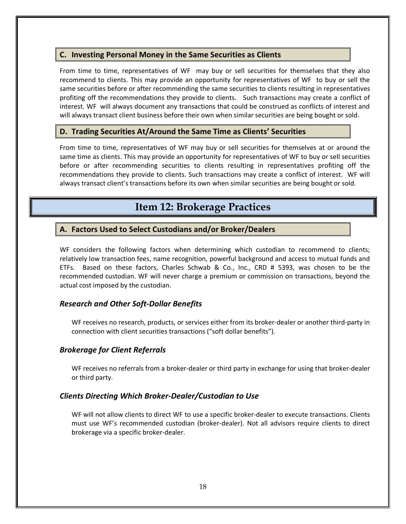# **C. Investing Personal Money in the Same Securities as Clients**

From time to time, representatives of WF may buy or sell securities for themselves that they also recommend to clients. This may provide an opportunity for representatives of WF to buy or sell the same securities before or after recommending the same securities to clients resulting in representatives profiting off the recommendations they provide to clients. Such transactions may create a conflict of interest. WF will always document any transactions that could be construed as conflicts of interest and will always transact client business before their own when similar securities are being bought or sold.

# **D. Trading Securities At/Around the Same Time as Clients' Securities**

From time to time, representatives of WF may buy or sell securities for themselves at or around the same time as clients. This may provide an opportunity for representatives of WF to buy or sell securities before or after recommending securities to clients resulting in representatives profiting off the recommendations they provide to clients. Such transactions may create a conflict of interest. WF will always transact client's transactions before its own when similar securities are being bought or sold.

# **Item 12: Brokerage Practices**

# <span id="page-17-0"></span>**A. Factors Used to Select Custodians and/or Broker/Dealers**

WF considers the following factors when determining which custodian to recommend to clients; relatively low transaction fees, name recognition, powerful background and access to mutual funds and ETFs. Based on these factors, Charles Schwab & Co., Inc., CRD # 5393, was chosen to be the recommended custodian. WF will never charge a premium or commission on transactions, beyond the actual cost imposed by the custodian.

### *Research and Other Soft-Dollar Benefits*

WF receives no research, products, or services either from its broker-dealer or another third-party in connection with client securities transactions ("soft dollar benefits").

### *Brokerage for Client Referrals*

WF receives no referrals from a broker-dealer or third party in exchange for using that broker-dealer or third party.

### *Clients Directing Which Broker-Dealer/Custodian to Use*

WF will not allow clients to direct WF to use a specific broker-dealer to execute transactions. Clients must use WF's recommended custodian (broker-dealer). Not all advisors require clients to direct brokerage via a specific broker-dealer.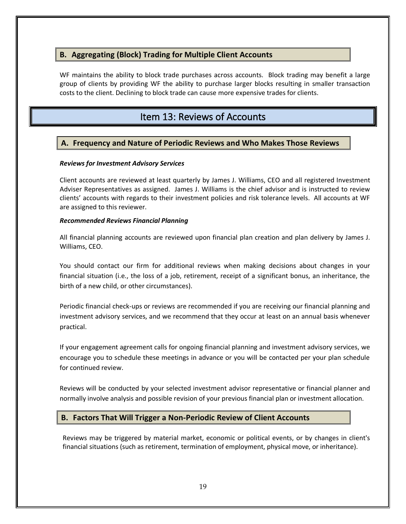# **B. Aggregating (Block) Trading for Multiple Client Accounts**

WF maintains the ability to block trade purchases across accounts. Block trading may benefit a large group of clients by providing WF the ability to purchase larger blocks resulting in smaller transaction costs to the client. Declining to block trade can cause more expensive trades for clients.

# Item 13: Reviews of Accounts

# <span id="page-18-0"></span>**A. Frequency and Nature of Periodic Reviews and Who Makes Those Reviews**

### *Reviews for Investment Advisory Services*

Client accounts are reviewed at least quarterly by James J. Williams, CEO and all registered Investment Adviser Representatives as assigned. James J. Williams is the chief advisor and is instructed to review clients' accounts with regards to their investment policies and risk tolerance levels. All accounts at WF are assigned to this reviewer.

#### *Recommended Reviews Financial Planning*

All financial planning accounts are reviewed upon financial plan creation and plan delivery by James J. Williams, CEO.

You should contact our firm for additional reviews when making decisions about changes in your financial situation (i.e., the loss of a job, retirement, receipt of a significant bonus, an inheritance, the birth of a new child, or other circumstances).

Periodic financial check‐ups or reviews are recommended if you are receiving our financial planning and investment advisory services, and we recommend that they occur at least on an annual basis whenever practical.

If your engagement agreement calls for ongoing financial planning and investment advisory services, we encourage you to schedule these meetings in advance or you will be contacted per your plan schedule for continued review.

Reviews will be conducted by your selected investment advisor representative or financial planner and normally involve analysis and possible revision of your previous financial plan or investment allocation.

# **B. Factors That Will Trigger a Non-Periodic Review of Client Accounts**

Reviews may be triggered by material market, economic or political events, or by changes in client's financial situations (such as retirement, termination of employment, physical move, or inheritance).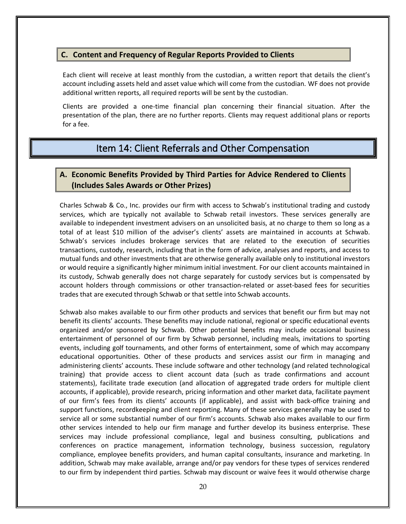### **C. Content and Frequency of Regular Reports Provided to Clients**

Each client will receive at least monthly from the custodian, a written report that details the client's account including assets held and asset value which will come from the custodian. WF does not provide additional written reports, all required reports will be sent by the custodian.

Clients are provided a one-time financial plan concerning their financial situation. After the presentation of the plan, there are no further reports. Clients may request additional plans or reports for a fee.

# Item 14: Client Referrals and Other Compensation

# <span id="page-19-0"></span>**A. Economic Benefits Provided by Third Parties for Advice Rendered to Clients (Includes Sales Awards or Other Prizes)**

Charles Schwab & Co., Inc. provides our firm with access to Schwab's institutional trading and custody services, which are typically not available to Schwab retail investors. These services generally are available to independent investment advisers on an unsolicited basis, at no charge to them so long as a total of at least \$10 million of the adviser's clients' assets are maintained in accounts at Schwab. Schwab's services includes brokerage services that are related to the execution of securities transactions, custody, research, including that in the form of advice, analyses and reports, and access to mutual funds and other investments that are otherwise generally available only to institutional investors or would require a significantly higher minimum initial investment. For our client accounts maintained in its custody, Schwab generally does not charge separately for custody services but is compensated by account holders through commissions or other transaction-related or asset-based fees for securities trades that are executed through Schwab or that settle into Schwab accounts.

Schwab also makes available to our firm other products and services that benefit our firm but may not benefit its clients' accounts. These benefits may include national, regional or specific educational events organized and/or sponsored by Schwab. Other potential benefits may include occasional business entertainment of personnel of our firm by Schwab personnel, including meals, invitations to sporting events, including golf tournaments, and other forms of entertainment, some of which may accompany educational opportunities. Other of these products and services assist our firm in managing and administering clients' accounts. These include software and other technology (and related technological training) that provide access to client account data (such as trade confirmations and account statements), facilitate trade execution (and allocation of aggregated trade orders for multiple client accounts, if applicable), provide research, pricing information and other market data, facilitate payment of our firm's fees from its clients' accounts (if applicable), and assist with back-office training and support functions, recordkeeping and client reporting. Many of these services generally may be used to service all or some substantial number of our firm's accounts. Schwab also makes available to our firm other services intended to help our firm manage and further develop its business enterprise. These services may include professional compliance, legal and business consulting, publications and conferences on practice management, information technology, business succession, regulatory compliance, employee benefits providers, and human capital consultants, insurance and marketing. In addition, Schwab may make available, arrange and/or pay vendors for these types of services rendered to our firm by independent third parties. Schwab may discount or waive fees it would otherwise charge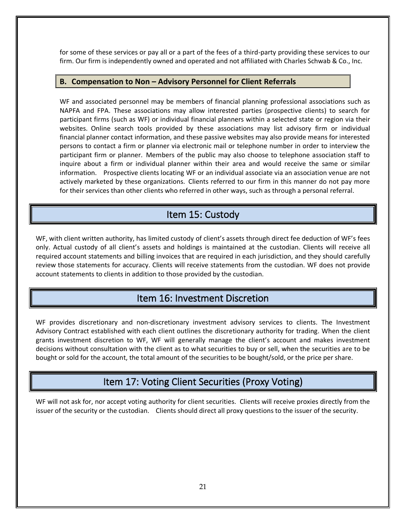for some of these services or pay all or a part of the fees of a third-party providing these services to our firm. Our firm is independently owned and operated and not affiliated with Charles Schwab & Co., Inc.

### **B. Compensation to Non – Advisory Personnel for Client Referrals**

WF and associated personnel may be members of financial planning professional associations such as NAPFA and FPA. These associations may allow interested parties (prospective clients) to search for participant firms (such as WF) or individual financial planners within a selected state or region via their websites. Online search tools provided by these associations may list advisory firm or individual financial planner contact information, and these passive websites may also provide means for interested persons to contact a firm or planner via electronic mail or telephone number in order to interview the participant firm or planner. Members of the public may also choose to telephone association staff to inquire about a firm or individual planner within their area and would receive the same or similar information. Prospective clients locating WF or an individual associate via an association venue are not actively marketed by these organizations. Clients referred to our firm in this manner do not pay more for their services than other clients who referred in other ways, such as through a personal referral.

# Item 15: Custody

<span id="page-20-0"></span>WF, with client written authority, has limited custody of client's assets through direct fee deduction of WF's fees only. Actual custody of all client's assets and holdings is maintained at the custodian. Clients will receive all required account statements and billing invoices that are required in each jurisdiction, and they should carefully review those statements for accuracy. Clients will receive statements from the custodian. WF does not provide account statements to clients in addition to those provided by the custodian.

# Item 16: Investment Discretion

<span id="page-20-1"></span>WF provides discretionary and non-discretionary investment advisory services to clients. The Investment Advisory Contract established with each client outlines the discretionary authority for trading. When the client grants investment discretion to WF, WF will generally manage the client's account and makes investment decisions without consultation with the client as to what securities to buy or sell, when the securities are to be bought or sold for the account, the total amount of the securities to be bought/sold, or the price per share.

# Item 17: Voting Client Securities (Proxy Voting)

<span id="page-20-2"></span>WF will not ask for, nor accept voting authority for client securities. Clients will receive proxies directly from the issuer of the security or the custodian. Clients should direct all proxy questions to the issuer of the security.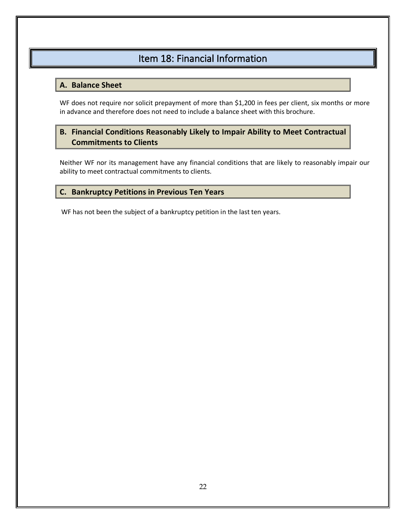# Item 18: Financial Information

# <span id="page-21-0"></span>**A. Balance Sheet**

WF does not require nor solicit prepayment of more than \$1,200 in fees per client, six months or more in advance and therefore does not need to include a balance sheet with this brochure.

# **B. Financial Conditions Reasonably Likely to Impair Ability to Meet Contractual Commitments to Clients**

Neither WF nor its management have any financial conditions that are likely to reasonably impair our ability to meet contractual commitments to clients.

# **C. Bankruptcy Petitions in Previous Ten Years**

WF has not been the subject of a bankruptcy petition in the last ten years.